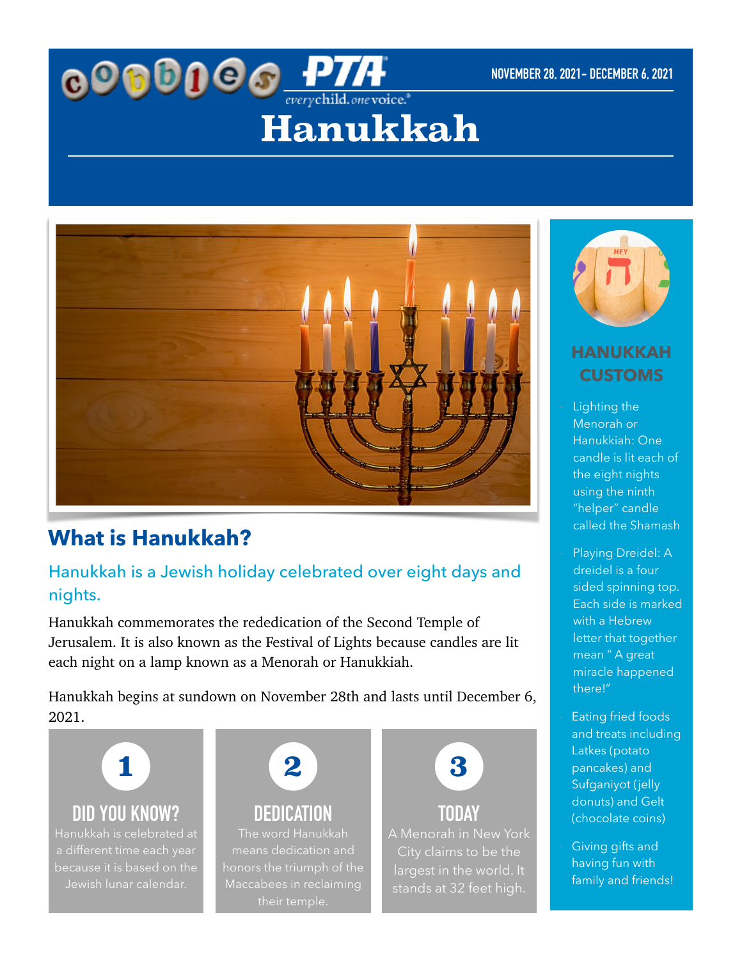# **OOOOOO** PTA **Hanukkah**



## **What is Hanukkah?**

## Hanukkah is a Jewish holiday celebrated over eight days and nights.

Hanukkah commemorates the rededication of the Second Temple of Jerusalem. It is also known as the Festival of Lights because candles are lit each night on a lamp known as a Menorah or Hanukkiah.

Hanukkah begins at sundown on November 28th and lasts until December 6, 2021.

**1**

**DID YOU KNOW?**

because it is based on the



**DEDICATION** The word Hanukkah means dedication and honors the triumph of the



**TODAY** stands at 32 feet high.



### **HANUKKAH CUSTOMS**

Lighting the Menorah or Hanukkiah: One candle is lit each of the eight nights using the ninth "helper" candle called the Shamash

Playing Dreidel: A dreidel is a four sided spinning top. Each side is marked with a Hebrew letter that together mean " A great miracle happened there!"

Eating fried foods and treats including Latkes (potato pancakes) and Sufganiyot (jelly donuts) and Gelt (chocolate coins)

Giving gifts and having fun with family and friends!